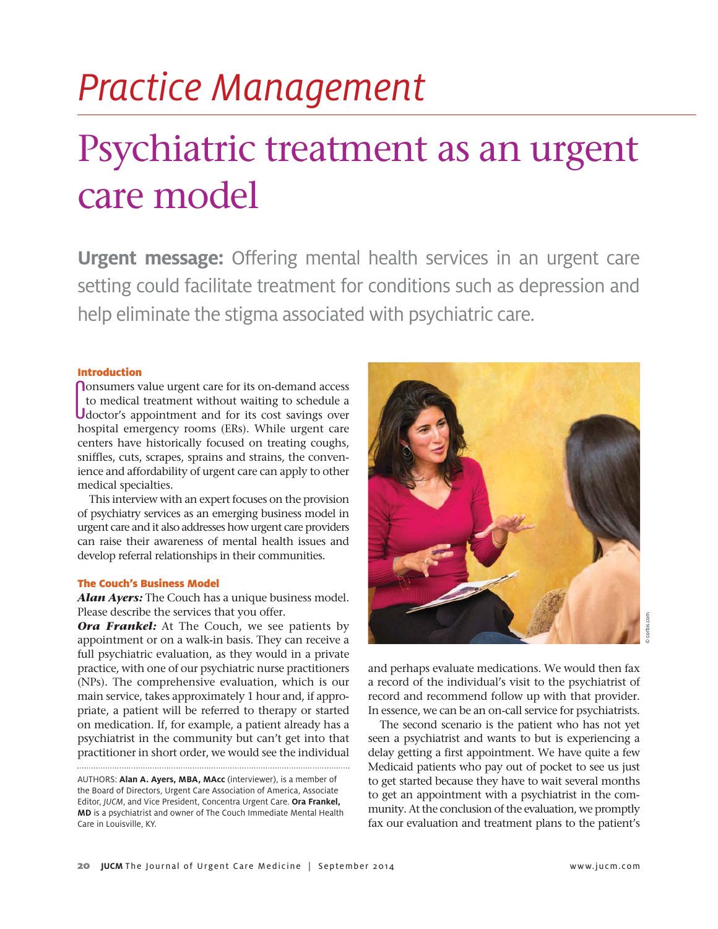# *Practice Management* Psychiatric treatment as an urgent care model

**Urgent message:** Offering mental health services in an urgent care setting could facilitate treatment for conditions such as depression and help eliminate the stigma associated with psychiatric care.

#### Introduction

**C** consumers value urgent care for its on-demand access<br>to medical treatment without waiting to schedule a<br>doctor's appointment and for its cost savings over<br>bespital amersonsy rooms (EBs). While urgent care **O**nsumers value urgent care for its on-demand access to medical treatment without waiting to schedule a hospital emergency rooms (ERs). While urgent care centers have historically focused on treating coughs, sniffles, cuts, scrapes, sprains and strains, the convenience and affordability of urgent care can apply to other medical specialties.

This interview with an expert focuses on the provision of psychiatry services as an emerging business model in urgent care and it also addresses how urgent care providers can raise their awareness of mental health issues and develop referral relationships in their communities.

#### The Couch's Business Model

*Alan Ayers:* The Couch has a unique business model. Please describe the services that you offer.

**Ora Frankel:** At The Couch, we see patients by appointment or on a walk-in basis. They can receive a full psychiatric evaluation, as they would in a private practice, with one of our psychiatric nurse practitioners (NPs). The comprehensive evaluation, which is our main service, takes approximately 1 hour and, if appropriate, a patient will be referred to therapy or started on medication. If, for example, a patient already has a psychiatrist in the community but can't get into that practitioner in short order, we would see the individual



© corbis.com

and perhaps evaluate medications. We would then fax a record of the individual's visit to the psychiatrist of record and recommend follow up with that provider. In essence, we can be an on-call service for psychiatrists.

The second scenario is the patient who has not yet seen a psychiatrist and wants to but is experiencing a delay getting a first appointment. We have quite a few Medicaid patients who pay out of pocket to see us just to get started because they have to wait several months to get an appointment with a psychiatrist in the community. At the conclusion of the evaluation, we promptly fax our evaluation and treatment plans to the patient's

AUTHORS: **Alan A. Ayers, MBA, MAcc** (interviewer), is a member of the Board of Directors, Urgent Care Association of America, Associate Editor, *JUCM*, and Vice President, Concentra Urgent Care. **Ora Frankel, MD** is a psychiatrist and owner of The Couch Immediate Mental Health Care in Louisville, KY.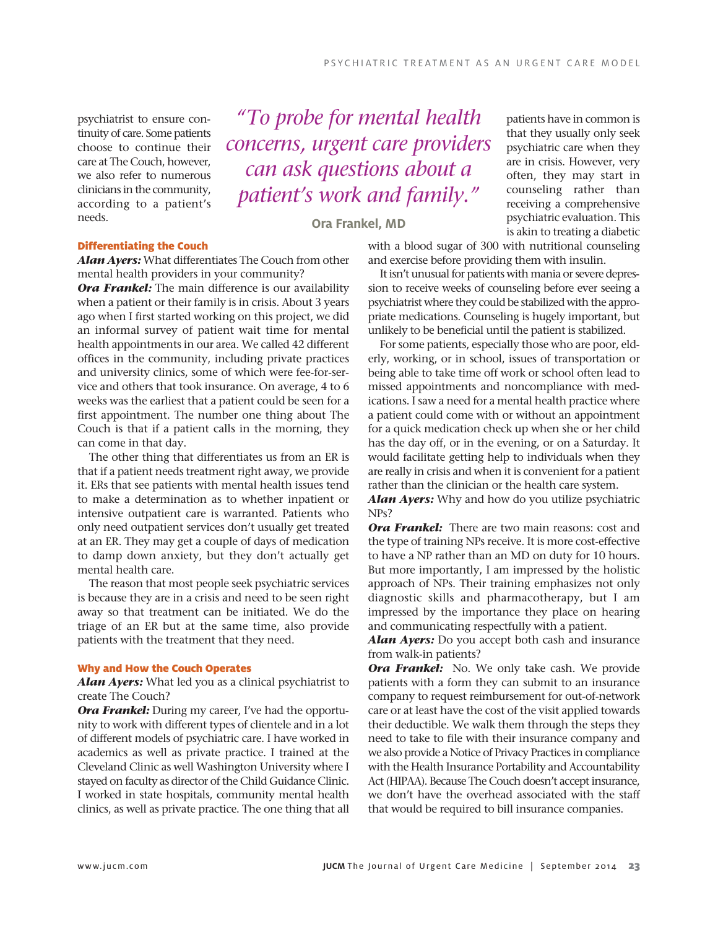psychiatrist to ensure continuity of care. Some patients choose to continue their care at The Couch, however, we also refer to numerous clinicians in the community, according to a patient's needs.

*"To probe for mental health concerns, urgent care providers can ask questions about a patient's work and family."*

**Ora Frankel, MD**

### Differentiating the Couch

*Alan Ayers:* What differentiates The Couch from other mental health providers in your community?

*Ora Frankel:* The main difference is our availability when a patient or their family is in crisis. About 3 years ago when I first started working on this project, we did an informal survey of patient wait time for mental health appointments in our area. We called 42 different offices in the community, including private practices and university clinics, some of which were fee-for-service and others that took insurance. On average, 4 to 6 weeks was the earliest that a patient could be seen for a first appointment. The number one thing about The Couch is that if a patient calls in the morning, they can come in that day.

The other thing that differentiates us from an ER is that if a patient needs treatment right away, we provide it. ERs that see patients with mental health issues tend to make a determination as to whether inpatient or intensive outpatient care is warranted. Patients who only need outpatient services don't usually get treated at an ER. They may get a couple of days of medication to damp down anxiety, but they don't actually get mental health care.

The reason that most people seek psychiatric services is because they are in a crisis and need to be seen right away so that treatment can be initiated. We do the triage of an ER but at the same time, also provide patients with the treatment that they need.

#### Why and How the Couch Operates

*Alan Ayers:* What led you as a clinical psychiatrist to create The Couch?

**Ora Frankel:** During my career, I've had the opportunity to work with different types of clientele and in a lot of different models of psychiatric care. I have worked in academics as well as private practice. I trained at the Cleveland Clinic as well Washington University where I stayed on faculty as director of the Child Guidance Clinic. I worked in state hospitals, community mental health clinics, as well as private practice. The one thing that all patients have in common is that they usually only seek psychiatric care when they are in crisis. However, very often, they may start in counseling rather than receiving a comprehensive psychiatric evaluation. This is akin to treating a diabetic

with a blood sugar of 300 with nutritional counseling and exercise before providing them with insulin.

It isn't unusual for patients with mania or severe depression to receive weeks of counseling before ever seeing a psychiatrist where they could be stabilized with the appropriate medications. Counseling is hugely important, but unlikely to be beneficial until the patient is stabilized.

For some patients, especially those who are poor, elderly, working, or in school, issues of transportation or being able to take time off work or school often lead to missed appointments and noncompliance with medications. I saw a need for a mental health practice where a patient could come with or without an appointment for a quick medication check up when she or her child has the day off, or in the evening, or on a Saturday. It would facilitate getting help to individuals when they are really in crisis and when it is convenient for a patient rather than the clinician or the health care system.

*Alan Ayers:* Why and how do you utilize psychiatric NPs?

*Ora Frankel:* There are two main reasons: cost and the type of training NPs receive. It is more cost-effective to have a NP rather than an MD on duty for 10 hours. But more importantly, I am impressed by the holistic approach of NPs. Their training emphasizes not only diagnostic skills and pharmacotherapy, but I am impressed by the importance they place on hearing and communicating respectfully with a patient.

*Alan Ayers:* Do you accept both cash and insurance from walk-in patients?

*Ora Frankel:* No. We only take cash. We provide patients with a form they can submit to an insurance company to request reimbursement for out-of-network care or at least have the cost of the visit applied towards their deductible. We walk them through the steps they need to take to file with their insurance company and we also provide a Notice of Privacy Practices in compliance with the Health Insurance Portability and Accountability Act (HIPAA). Because The Couch doesn't accept insurance, we don't have the overhead associated with the staff that would be required to bill insurance companies.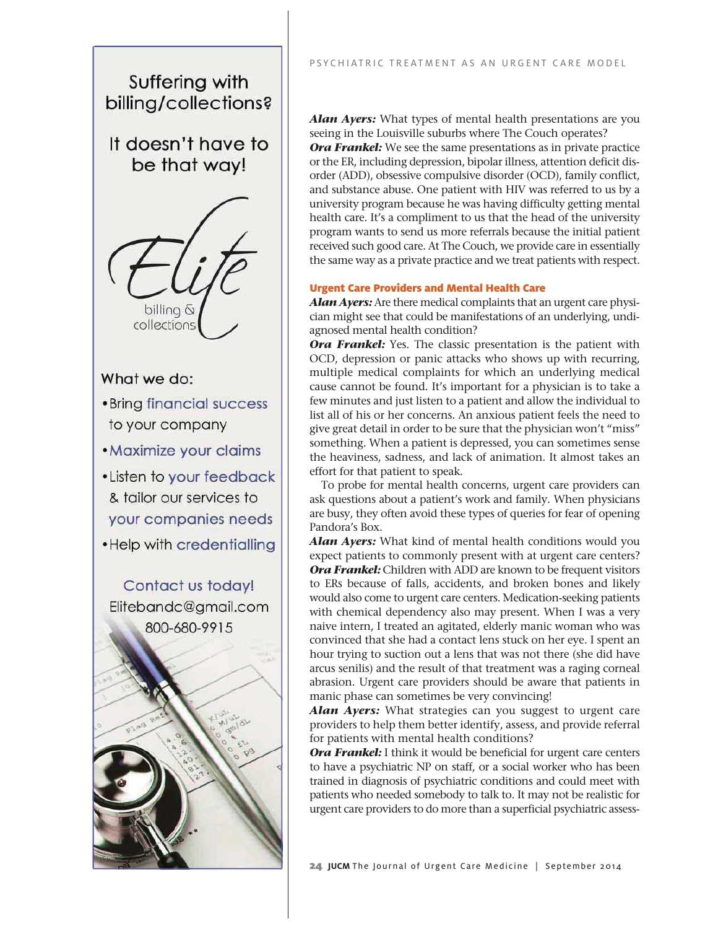Suffering with billing/collections?

It doesn't have to be that way!



# What we do:

- Bring financial success to your company
- Maximize your claims
- Listen to your feedback & tailor our services to your companies needs . Help with credentialling

Contact us today! Elitebandc@gmail.com 800-680-9915

*Alan Ayers:* What types of mental health presentations are you seeing in the Louisville suburbs where The Couch operates? **Ora Frankel:** We see the same presentations as in private practice or the ER, including depression, bipolar illness, attention deficit disorder (ADD), obsessive compulsive disorder (OCD), family conflict, and substance abuse. One patient with HIV was referred to us by a university program because he was having difficulty getting mental health care. It's a compliment to us that the head of the university program wants to send us more referrals because the initial patient received such good care. At The Couch, we provide care in essentially the same way as a private practice and we treat patients with respect.

## Urgent Care Providers and Mental Health Care

*Alan Ayers:* Are there medical complaints that an urgent care physician might see that could be manifestations of an underlying, undiagnosed mental health condition?

**Ora Frankel:** Yes. The classic presentation is the patient with OCD, depression or panic attacks who shows up with recurring, multiple medical complaints for which an underlying medical cause cannot be found. It's important for a physician is to take a few minutes and just listen to a patient and allow the individual to list all of his or her concerns. An anxious patient feels the need to give great detail in order to be sure that the physician won't "miss" something. When a patient is depressed, you can sometimes sense the heaviness, sadness, and lack of animation. It almost takes an effort for that patient to speak.

To probe for mental health concerns, urgent care providers can ask questions about a patient's work and family. When physicians are busy, they often avoid these types of queries for fear of opening Pandora's Box.

*Alan Ayers:* What kind of mental health conditions would you expect patients to commonly present with at urgent care centers? *Ora Frankel:* Children with ADD are known to be frequent visitors to ERs because of falls, accidents, and broken bones and likely would also come to urgent care centers. Medication-seeking patients with chemical dependency also may present. When I was a very naive intern, I treated an agitated, elderly manic woman who was convinced that she had a contact lens stuck on her eye. I spent an hour trying to suction out a lens that was not there (she did have arcus senilis) and the result of that treatment was a raging corneal abrasion. Urgent care providers should be aware that patients in manic phase can sometimes be very convincing!

*Alan Ayers:* What strategies can you suggest to urgent care providers to help them better identify, assess, and provide referral for patients with mental health conditions?

**Ora Frankel:** I think it would be beneficial for urgent care centers to have a psychiatric NP on staff, or a social worker who has been trained in diagnosis of psychiatric conditions and could meet with patients who needed somebody to talk to. It may not be realistic for urgent care providers to do more than a superficial psychiatric assess